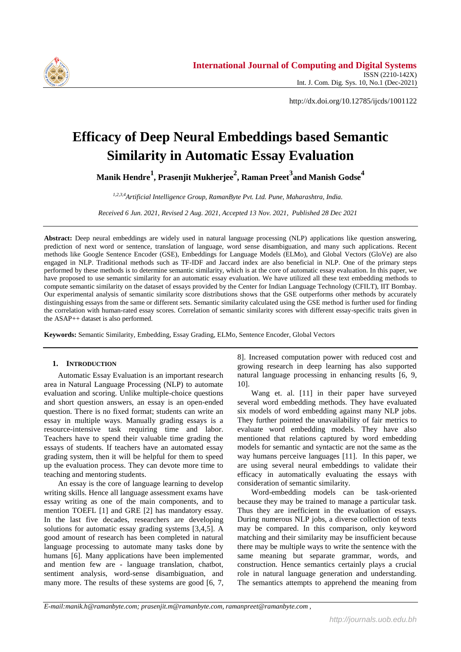

http://dx.doi.org/10.12785/ijcds/1001122

# **Efficacy of Deep Neural Embeddings based Semantic Similarity in Automatic Essay Evaluation**

**Manik Hendre<sup>1</sup> , Prasenjit Mukherjee<sup>2</sup> , Raman Preet<sup>3</sup> and Manish Godse<sup>4</sup>**

*1,2,3,4Artificial Intelligence Group, RamanByte Pvt. Ltd. Pune, Maharashtra, India.*

*Received 6 Jun. 2021, Revised 2 Aug. 2021, Accepted 13 Nov. 2021, Published 28 Dec 2021*

**Abstract:** Deep neural embeddings are widely used in natural language processing (NLP) applications like question answering, prediction of next word or sentence, translation of language, word sense disambiguation, and many such applications. Recent methods like Google Sentence Encoder (GSE), Embeddings for Language Models (ELMo), and Global Vectors (GloVe) are also engaged in NLP. Traditional methods such as TF-IDF and Jaccard index are also beneficial in NLP. One of the primary steps performed by these methods is to determine semantic similarity, which is at the core of automatic essay evaluation. In this paper, we have proposed to use semantic similarity for an automatic essay evaluation. We have utilized all these text embedding methods to compute semantic similarity on the dataset of essays provided by the Center for Indian Language Technology (CFILT), IIT Bombay. Our experimental analysis of semantic similarity score distributions shows that the GSE outperforms other methods by accurately distinguishing essays from the same or different sets. Semantic similarity calculated using the GSE method is further used for finding the correlation with human-rated essay scores. Correlation of semantic similarity scores with different essay-specific traits given in the ASAP++ dataset is also performed.

**Keywords:** Semantic Similarity, Embedding, Essay Grading, ELMo, Sentence Encoder, Global Vectors

# **1. INTRODUCTION**

Automatic Essay Evaluation is an important research area in Natural Language Processing (NLP) to automate evaluation and scoring. Unlike multiple-choice questions and short question answers, an essay is an open-ended question. There is no fixed format; students can write an essay in multiple ways. Manually grading essays is a resource-intensive task requiring time and labor. Teachers have to spend their valuable time grading the essays of students. If teachers have an automated essay grading system, then it will be helpful for them to speed up the evaluation process. They can devote more time to teaching and mentoring students.

An essay is the core of language learning to develop writing skills. Hence all language assessment exams have essay writing as one of the main components, and to mention TOEFL [1] and GRE [2] has mandatory essay. In the last five decades, researchers are developing solutions for automatic essay grading systems [3,4,5]. A good amount of research has been completed in natural language processing to automate many tasks done by humans [6]. Many applications have been implemented and mention few are - language translation, chatbot, sentiment analysis, word-sense disambiguation, and many more. The results of these systems are good [6, 7, 8]. Increased computation power with reduced cost and growing research in deep learning has also supported natural language processing in enhancing results [6, 9, 10].

Wang et. al. [11] in their paper have surveyed several word embedding methods. They have evaluated six models of word embedding against many NLP jobs. They further pointed the unavailability of fair metrics to evaluate word embedding models. They have also mentioned that relations captured by word embedding models for semantic and syntactic are not the same as the way humans perceive languages [11]. In this paper, we are using several neural embeddings to validate their efficacy in automatically evaluating the essays with consideration of semantic similarity.

Word-embedding models can be task-oriented because they may be trained to manage a particular task. Thus they are inefficient in the evaluation of essays. During numerous NLP jobs, a diverse collection of texts may be compared. In this comparison, only keyword matching and their similarity may be insufficient because there may be multiple ways to write the sentence with the same meaning but separate grammar, words, and construction. Hence semantics certainly plays a crucial role in natural language generation and understanding. The semantics attempts to apprehend the meaning from

*E-mail:manik.h@ramanbyte.com; prasenjit.m@ramanbyte.com, ramanpreet@ramanbyte.com ,*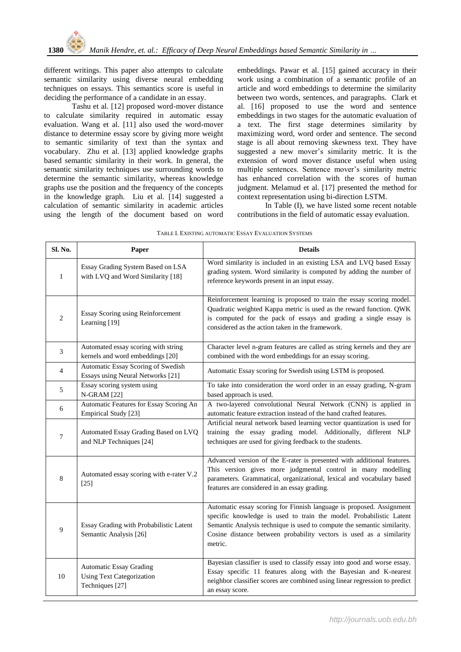different writings. This paper also attempts to calculate semantic similarity using diverse neural embedding techniques on essays. This semantics score is useful in deciding the performance of a candidate in an essay.

Tashu et al. [12] proposed word-mover distance to calculate similarity required in automatic essay evaluation. Wang et al. [11] also used the word-mover distance to determine essay score by giving more weight to semantic similarity of text than the syntax and vocabulary. Zhu et al. [13] applied knowledge graphs based semantic similarity in their work. In general, the semantic similarity techniques use surrounding words to determine the semantic similarity, whereas knowledge graphs use the position and the frequency of the concepts in the knowledge graph. Liu et al. [14] suggested a calculation of semantic similarity in academic articles using the length of the document based on word

embeddings. Pawar et al. [15] gained accuracy in their work using a combination of a semantic profile of an article and word embeddings to determine the similarity between two words, sentences, and paragraphs. Clark et al. [16] proposed to use the word and sentence embeddings in two stages for the automatic evaluation of a text. The first stage determines similarity by maximizing word, word order and sentence. The second stage is all about removing skewness text. They have suggested a new mover's similarity metric. It is the extension of word mover distance useful when using multiple sentences. Sentence mover's similarity metric has enhanced correlation with the scores of human judgment. Melamud et al. [17] presented the method for context representation using bi-direction LSTM.

In Table (I), we have listed some recent notable contributions in the field of automatic essay evaluation.

| Sl. No.        | Paper                                                                                 | <b>Details</b>                                                                                                                                                                                                                                                                                           |  |  |
|----------------|---------------------------------------------------------------------------------------|----------------------------------------------------------------------------------------------------------------------------------------------------------------------------------------------------------------------------------------------------------------------------------------------------------|--|--|
| $\mathbf{1}$   | Essay Grading System Based on LSA<br>with LVQ and Word Similarity [18]                | Word similarity is included in an existing LSA and LVQ based Essay<br>grading system. Word similarity is computed by adding the number of<br>reference keywords present in an input essay.                                                                                                               |  |  |
| $\overline{2}$ | Essay Scoring using Reinforcement<br>Learning [19]                                    | Reinforcement learning is proposed to train the essay scoring model.<br>Quadratic weighted Kappa metric is used as the reward function. QWK<br>is computed for the pack of essays and grading a single essay is<br>considered as the action taken in the framework.                                      |  |  |
| 3              | Automated essay scoring with string<br>kernels and word embeddings [20]               | Character level n-gram features are called as string kernels and they are<br>combined with the word embeddings for an essay scoring.                                                                                                                                                                     |  |  |
| $\overline{4}$ | Automatic Essay Scoring of Swedish<br>Essays using Neural Networks [21]               | Automatic Essay scoring for Swedish using LSTM is proposed.                                                                                                                                                                                                                                              |  |  |
| 5              | Essay scoring system using<br><b>N-GRAM</b> [22]                                      | To take into consideration the word order in an essay grading, N-gram<br>based approach is used.                                                                                                                                                                                                         |  |  |
| 6              | Automatic Features for Essay Scoring An<br>Empirical Study [23]                       | A two-layered convolutional Neural Network (CNN) is applied in<br>automatic feature extraction instead of the hand crafted features.                                                                                                                                                                     |  |  |
| $\tau$         | Automated Essay Grading Based on LVQ<br>and NLP Techniques [24]                       | Artificial neural network based learning vector quantization is used for<br>training the essay grading model. Additionally, different NLP<br>techniques are used for giving feedback to the students.                                                                                                    |  |  |
| 8              | Automated essay scoring with e-rater V.2<br>$[25]$                                    | Advanced version of the E-rater is presented with additional features.<br>This version gives more judgmental control in many modelling<br>parameters. Grammatical, organizational, lexical and vocabulary based<br>features are considered in an essay grading.                                          |  |  |
| 9              | Essay Grading with Probabilistic Latent<br>Semantic Analysis [26]                     | Automatic essay scoring for Finnish language is proposed. Assignment<br>specific knowledge is used to train the model. Probabilistic Latent<br>Semantic Analysis technique is used to compute the semantic similarity.<br>Cosine distance between probability vectors is used as a similarity<br>metric. |  |  |
| 10             | <b>Automatic Essay Grading</b><br><b>Using Text Categorization</b><br>Techniques [27] | Bayesian classifier is used to classify essay into good and worse essay.<br>Essay specific 11 features along with the Bayesian and K-nearest<br>neighbor classifier scores are combined using linear regression to predict<br>an essay score.                                                            |  |  |

| TABLE I. EXISTING AUTOMATIC ESSAY EVALUATION SYSTEMS |  |
|------------------------------------------------------|--|
|------------------------------------------------------|--|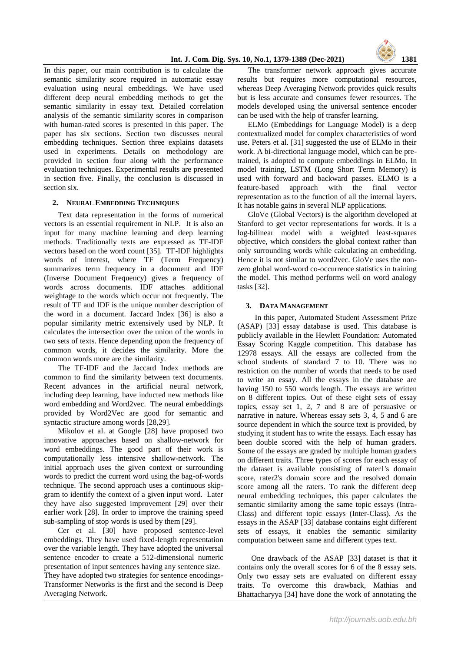# **Int. J. Com. Dig. Sys. 10, No.1, 1379-1389 (Dec-2021) 1381**



In this paper, our main contribution is to calculate the semantic similarity score required in automatic essay evaluation using neural embeddings. We have used different deep neural embedding methods to get the semantic similarity in essay text. Detailed correlation analysis of the semantic similarity scores in comparison with human-rated scores is presented in this paper. The paper has six sections. Section two discusses neural embedding techniques. Section three explains datasets used in experiments. Details on methodology are provided in section four along with the performance evaluation techniques. Experimental results are presented in section five. Finally, the conclusion is discussed in section six.

# **2. NEURAL EMBEDDING TECHNIQUES**

Text data representation in the forms of numerical vectors is an essential requirement in NLP. It is also an input for many machine learning and deep learning methods. Traditionally texts are expressed as TF-IDF vectors based on the word count [35]. TF-IDF highlights words of interest, where TF (Term Frequency) summarizes term frequency in a document and IDF (Inverse Document Frequency) gives a frequency of words across documents. IDF attaches additional weightage to the words which occur not frequently. The result of TF and IDF is the unique number description of the word in a document. Jaccard Index [36] is also a popular similarity metric extensively used by NLP. It calculates the intersection over the union of the words in two sets of texts. Hence depending upon the frequency of common words, it decides the similarity. More the common words more are the similarity.

The TF-IDF and the Jaccard Index methods are common to find the similarity between text documents. Recent advances in the artificial neural network, including deep learning, have inducted new methods like word embedding and Word2vec. The neural embeddings provided by Word2Vec are good for semantic and syntactic structure among words [28,29].

Mikolov et al. at Google [28] have proposed two innovative approaches based on shallow-network for word embeddings. The good part of their work is computationally less intensive shallow-network. The initial approach uses the given context or surrounding words to predict the current word using the bag-of-words technique. The second approach uses a continuous skipgram to identify the context of a given input word. Later they have also suggested improvement [29] over their earlier work [28]. In order to improve the training speed sub-sampling of stop words is used by them [29].

Cer et al. [30] have proposed sentence-level embeddings. They have used fixed-length representation over the variable length. They have adopted the universal sentence encoder to create a 512-dimensional numeric presentation of input sentences having any sentence size. They have adopted two strategies for sentence encodings-Transformer Networks is the first and the second is Deep Averaging Network.

The transformer network approach gives accurate results but requires more computational resources, whereas Deep Averaging Network provides quick results but is less accurate and consumes fewer resources. The models developed using the universal sentence encoder can be used with the help of transfer learning.

ELMo (Embeddings for Language Model) is a deep contextualized model for complex characteristics of word use. Peters et al. [31] suggested the use of ELMo in their work. A bi-directional language model, which can be pretrained, is adopted to compute embeddings in ELMo. In model training, LSTM (Long Short Term Memory) is used with forward and backward passes. ELMO is a feature-based approach with the final vector representation as to the function of all the internal layers. It has notable gains in several NLP applications.

GloVe (Global Vectors) is the algorithm developed at Stanford to get vector representations for words. It is a log-bilinear model with a weighted least-squares objective, which considers the global context rather than only surrounding words while calculating an embedding. Hence it is not similar to word2vec. GloVe uses the nonzero global word-word co-occurrence statistics in training the model. This method performs well on word analogy tasks [32].

#### **3. DATA MANAGEMENT**

In this paper, Automated Student Assessment Prize (ASAP) [33] essay database is used. This database is publicly available in the Hewlett Foundation: Automated Essay Scoring Kaggle competition. This database has 12978 essays. All the essays are collected from the school students of standard 7 to 10. There was no restriction on the number of words that needs to be used to write an essay. All the essays in the database are having 150 to 550 words length. The essays are written on 8 different topics. Out of these eight sets of essay topics, essay set 1, 2, 7 and 8 are of persuasive or narrative in nature. Whereas essay sets 3, 4, 5 and 6 are source dependent in which the source text is provided, by studying it student has to write the essays. Each essay has been double scored with the help of human graders. Some of the essays are graded by multiple human graders on different traits. Three types of scores for each essay of the dataset is available consisting of rater1's domain score, rater2's domain score and the resolved domain score among all the raters. To rank the different deep neural embedding techniques, this paper calculates the semantic similarity among the same topic essays (Intra-Class) and different topic essays (Inter-Class). As the essays in the ASAP [33] database contains eight different sets of essays, it enables the semantic similarity computation between same and different types text.

One drawback of the ASAP [33] dataset is that it contains only the overall scores for 6 of the 8 essay sets. Only two essay sets are evaluated on different essay traits. To overcome this drawback, Mathias and Bhattacharyya [34] have done the work of annotating the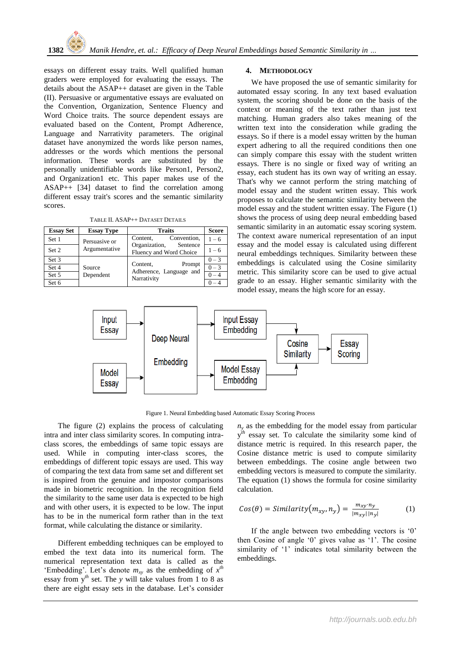essays on different essay traits. Well qualified human graders were employed for evaluating the essays. The details about the ASAP++ dataset are given in the Table (II). Persuasive or argumentative essays are evaluated on the Convention, Organization, Sentence Fluency and Word Choice traits. The source dependent essays are evaluated based on the Content, Prompt Adherence, Language and Narrativity parameters. The original dataset have anonymized the words like person names, addresses or the words which mentions the personal information. These words are substituted by the personally unidentifiable words like Person1, Person2, and Organization1 etc. This paper makes use of the ASAP++ [34] dataset to find the correlation among different essay trait's scores and the semantic similarity scores.

TABLE II. ASAP++ DATASET DETAILS

| <b>Essay Set</b> | <b>Essay Type</b>              | <b>Traits</b>                                                | <b>Score</b> |
|------------------|--------------------------------|--------------------------------------------------------------|--------------|
| Set 1            | Persuasive or<br>Argumentative | Convention.<br>Content,                                      | $1 - 6$      |
| Set 2            |                                | Organization,<br>Sentence<br>Fluency and Word Choice         | $1 - 6$      |
| Set 3            | Source                         | Prompt<br>Content,<br>Adherence, Language and<br>Narrativity | $0 - 3$      |
| Set 4            |                                |                                                              | $\sqrt{0-3}$ |
| Set 5            | Dependent                      |                                                              | $0 - 4$      |
| Set 6            |                                |                                                              |              |

# **4. METHODOLOGY**

We have proposed the use of semantic similarity for automated essay scoring. In any text based evaluation system, the scoring should be done on the basis of the context or meaning of the text rather than just text matching. Human graders also takes meaning of the written text into the consideration while grading the essays. So if there is a model essay written by the human expert adhering to all the required conditions then one can simply compare this essay with the student written essays. There is no single or fixed way of writing an essay, each student has its own way of writing an essay. That's why we cannot perform the string matching of model essay and the student written essay. This work proposes to calculate the semantic similarity between the model essay and the student written essay. The Figure (1) shows the process of using deep neural embedding based semantic similarity in an automatic essay scoring system. The context aware numerical representation of an input essay and the model essay is calculated using different neural embeddings techniques. Similarity between these embeddings is calculated using the Cosine similarity metric. This similarity score can be used to give actual grade to an essay. Higher semantic similarity with the model essay, means the high score for an essay.



Figure 1. Neural Embedding based Automatic Essay Scoring Process

The figure (2) explains the process of calculating intra and inter class similarity scores. In computing intraclass scores, the embeddings of same topic essays are used. While in computing inter-class scores, the embeddings of different topic essays are used. This way of comparing the text data from same set and different set is inspired from the genuine and impostor comparisons made in biometric recognition. In the recognition field the similarity to the same user data is expected to be high and with other users, it is expected to be low. The input has to be in the numerical form rather than in the text format, while calculating the distance or similarity.

Different embedding techniques can be employed to embed the text data into its numerical form. The numerical representation text data is called as the 'Embedding'. Let's denote  $m_{xy}$  as the embedding of  $x^{th}$ essay from  $y^{th}$  set. The *y* will take values from 1 to 8 as there are eight essay sets in the database. Let's consider

 $n<sub>y</sub>$  as the embedding for the model essay from particular y<sup>th</sup> essay set. To calculate the similarity some kind of distance metric is required. In this research paper, the Cosine distance metric is used to compute similarity between embeddings. The cosine angle between two embedding vectors is measured to compute the similarity. The equation (1) shows the formula for cosine similarity calculation.

$$
Cos(\theta) = Similarity(m_{xy}, n_y) = \frac{m_{xy} \cdot n_y}{|m_{xy}| |n_y|}
$$
 (1)

If the angle between two embedding vectors is '0' then Cosine of angle '0' gives value as '1'. The cosine similarity of '1' indicates total similarity between the embeddings.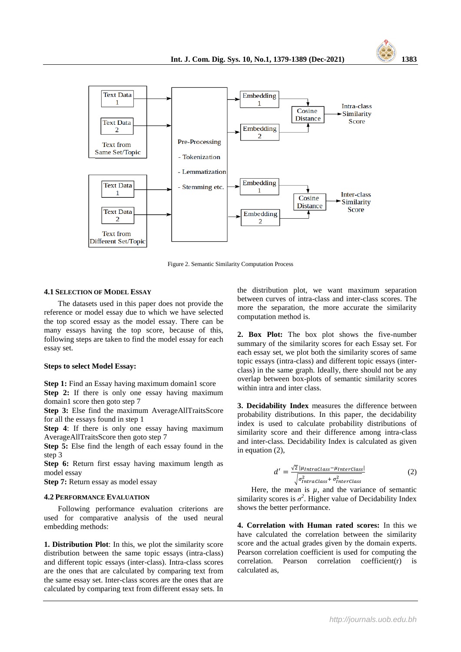



Figure 2. Semantic Similarity Computation Process

# **4.1 SELECTION OF MODEL ESSAY**

The datasets used in this paper does not provide the reference or model essay due to which we have selected the top scored essay as the model essay. There can be many essays having the top score, because of this, following steps are taken to find the model essay for each essay set.

#### **Steps to select Model Essay:**

**Step 1:** Find an Essay having maximum domain1 score

**Step 2:** If there is only one essay having maximum domain1 score then goto step 7

**Step 3:** Else find the maximum AverageAllTraitsScore for all the essays found in step 1

**Step 4**: If there is only one essay having maximum AverageAllTraitsScore then goto step 7

**Step 5:** Else find the length of each essay found in the step 3

**Step 6:** Return first essay having maximum length as model essay

**Step 7:** Return essay as model essay

#### **4.2 PERFORMANCE EVALUATION**

Following performance evaluation criterions are used for comparative analysis of the used neural embedding methods:

**1. Distribution Plot**: In this, we plot the similarity score distribution between the same topic essays (intra-class) and different topic essays (inter-class). Intra-class scores are the ones that are calculated by comparing text from the same essay set. Inter-class scores are the ones that are calculated by comparing text from different essay sets. In the distribution plot, we want maximum separation between curves of intra-class and inter-class scores. The more the separation, the more accurate the similarity computation method is.

**2. Box Plot:** The box plot shows the five-number summary of the similarity scores for each Essay set. For each essay set, we plot both the similarity scores of same topic essays (intra-class) and different topic essays (interclass) in the same graph. Ideally, there should not be any overlap between box-plots of semantic similarity scores within intra and inter class.

**3. Decidability Index** measures the difference between probability distributions. In this paper, the decidability index is used to calculate probability distributions of similarity score and their difference among intra-class and inter-class. Decidability Index is calculated as given in equation (2),

$$
d' = \frac{\sqrt{2} |\mu_{IntraClass} - \mu_{InterClass}|}{\sqrt{\sigma_{IntraClass}^2 + \sigma_{InterClass}^2}} \tag{2}
$$

Here, the mean is  $\mu$ , and the variance of semantic similarity scores is  $\sigma^2$ . Higher value of Decidability Index shows the better performance.

**4. Correlation with Human rated scores:** In this we have calculated the correlation between the similarity score and the actual grades given by the domain experts. Pearson correlation coefficient is used for computing the correlation. Pearson correlation coefficient(r) is calculated as,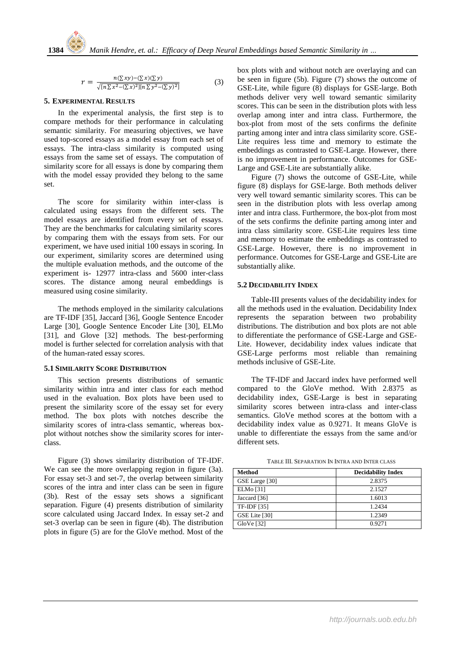$$
r = \frac{n(\sum xy) - (\sum x)(\sum y)}{\sqrt{[n\sum x^2 - (\sum x)^2][n\sum y^2 - (\sum y)^2]}} \tag{3}
$$

# **5. EXPERIMENTAL RESULTS**

In the experimental analysis, the first step is to compare methods for their performance in calculating semantic similarity. For measuring objectives, we have used top-scored essays as a model essay from each set of essays. The intra-class similarity is computed using essays from the same set of essays. The computation of similarity score for all essays is done by comparing them with the model essay provided they belong to the same set.

The score for similarity within inter-class is calculated using essays from the different sets. The model essays are identified from every set of essays. They are the benchmarks for calculating similarity scores by comparing them with the essays from sets. For our experiment, we have used initial 100 essays in scoring. In our experiment, similarity scores are determined using the multiple evaluation methods, and the outcome of the experiment is- 12977 intra-class and 5600 inter-class scores. The distance among neural embeddings is measured using cosine similarity.

The methods employed in the similarity calculations are TF-IDF [35], Jaccard [36], Google Sentence Encoder Large [30], Google Sentence Encoder Lite [30], ELMo [31], and Glove [32] methods. The best-performing model is further selected for correlation analysis with that of the human-rated essay scores.

# **5.1 SIMILARITY SCORE DISTRIBUTION**

This section presents distributions of semantic similarity within intra and inter class for each method used in the evaluation. Box plots have been used to present the similarity score of the essay set for every method. The box plots with notches describe the similarity scores of intra-class semantic, whereas boxplot without notches show the similarity scores for interclass.

Figure (3) shows similarity distribution of TF-IDF. We can see the more overlapping region in figure (3a). For essay set-3 and set-7, the overlap between similarity scores of the intra and inter class can be seen in figure (3b). Rest of the essay sets shows a significant separation. Figure (4) presents distribution of similarity score calculated using Jaccard Index. In essay set-2 and set-3 overlap can be seen in figure (4b). The distribution plots in figure (5) are for the GloVe method. Most of the

box plots with and without notch are overlaying and can be seen in figure (5b). Figure (7) shows the outcome of GSE-Lite, while figure (8) displays for GSE-large. Both methods deliver very well toward semantic similarity scores. This can be seen in the distribution plots with less overlap among inter and intra class. Furthermore, the box-plot from most of the sets confirms the definite parting among inter and intra class similarity score. GSE-Lite requires less time and memory to estimate the embeddings as contrasted to GSE-Large. However, there is no improvement in performance. Outcomes for GSE-Large and GSE-Lite are substantially alike.

Figure (7) shows the outcome of GSE-Lite, while figure (8) displays for GSE-large. Both methods deliver very well toward semantic similarity scores. This can be seen in the distribution plots with less overlap among inter and intra class. Furthermore, the box-plot from most of the sets confirms the definite parting among inter and intra class similarity score. GSE-Lite requires less time and memory to estimate the embeddings as contrasted to GSE-Large. However, there is no improvement in performance. Outcomes for GSE-Large and GSE-Lite are substantially alike.

# **5.2 DECIDABILITY INDEX**

Table-III presents values of the decidability index for all the methods used in the evaluation. Decidability Index represents the separation between two probability distributions. The distribution and box plots are not able to differentiate the performance of GSE-Large and GSE-Lite. However, decidability index values indicate that GSE-Large performs most reliable than remaining methods inclusive of GSE-Lite.

The TF-IDF and Jaccard index have performed well compared to the GloVe method. With 2.8375 as decidability index, GSE-Large is best in separating similarity scores between intra-class and inter-class semantics. GloVe method scores at the bottom with a decidability index value as 0.9271. It means GloVe is unable to differentiate the essays from the same and/or different sets.

| Method           | <b>Decidability Index</b> |
|------------------|---------------------------|
| GSE Large [30]   | 2.8375                    |
| <b>ELMo</b> [31] | 2.1527                    |
| Jaccard [36]     | 1.6013                    |
| TF-IDF [35]      | 1.2434                    |
| GSE Lite [30]    | 1.2349                    |
| GloVe [32]       | 0.9271                    |

TABLE III. SEPARATION IN INTRA AND INTER CLASS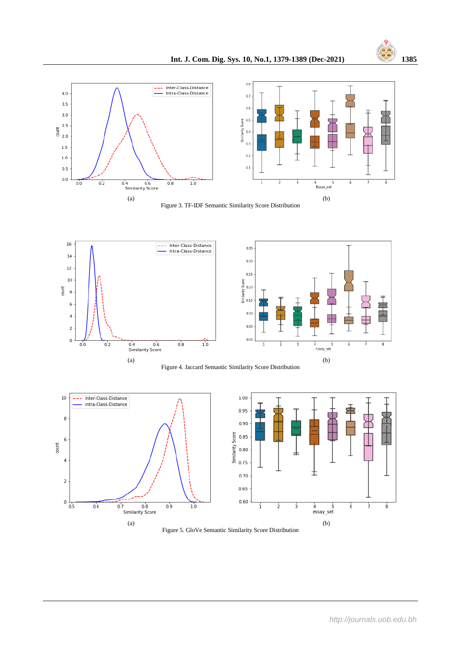

Figure 3. TF-IDF Semantic Similarity Score Distribution







Figure 5. GloVe Semantic Similarity Score Distribution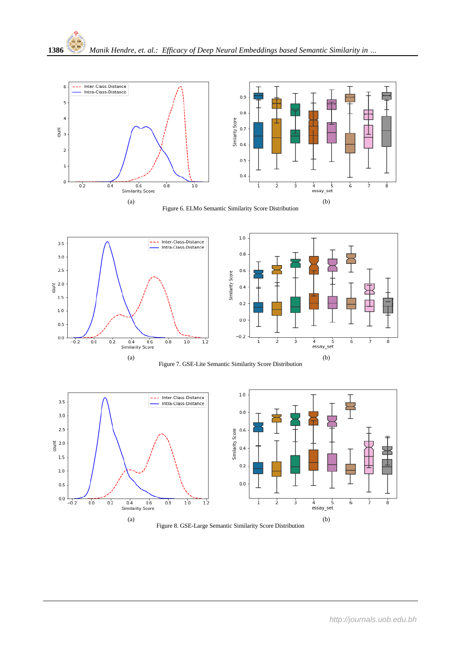

Figure 6. ELMo Semantic Similarity Score Distribution









Figure 8. GSE-Large Semantic Similarity Score Distribution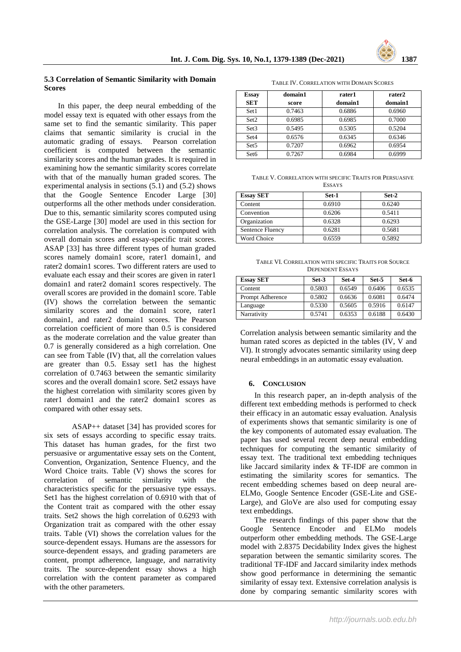

# **5.3 Correlation of Semantic Similarity with Domain Scores**

In this paper, the deep neural embedding of the model essay text is equated with other essays from the same set to find the semantic similarity. This paper claims that semantic similarity is crucial in the automatic grading of essays. Pearson correlation coefficient is computed between the semantic similarity scores and the human grades. It is required in examining how the semantic similarity scores correlate with that of the manually human graded scores. The experimental analysis in sections (5.1) and (5.2) shows that the Google Sentence Encoder Large [30] outperforms all the other methods under consideration. Due to this, semantic similarity scores computed using the GSE-Large [30] model are used in this section for correlation analysis. The correlation is computed with overall domain scores and essay-specific trait scores. ASAP [33] has three different types of human graded scores namely domain1 score, rater1 domain1, and rater2 domain1 scores. Two different raters are used to evaluate each essay and their scores are given in rater1 domain1 and rater2 domain1 scores respectively. The overall scores are provided in the domain1 score. Table (IV) shows the correlation between the semantic similarity scores and the domain1 score, rater1 domain1, and rater2 domain1 scores. The Pearson correlation coefficient of more than 0.5 is considered as the moderate correlation and the value greater than 0.7 is generally considered as a high correlation. One can see from Table (IV) that, all the correlation values are greater than 0.5. Essay set1 has the highest correlation of 0.7463 between the semantic similarity scores and the overall domain1 score. Set2 essays have the highest correlation with similarity scores given by rater1 domain1 and the rater2 domain1 scores as compared with other essay sets.

ASAP++ dataset [34] has provided scores for six sets of essays according to specific essay traits. This dataset has human grades, for the first two persuasive or argumentative essay sets on the Content, Convention, Organization, Sentence Fluency, and the Word Choice traits. Table (V) shows the scores for correlation of semantic similarity with the characteristics specific for the persuasive type essays. Set1 has the highest correlation of 0.6910 with that of the Content trait as compared with the other essay traits. Set2 shows the high correlation of 0.6293 with Organization trait as compared with the other essay traits. Table (VI) shows the correlation values for the source-dependent essays. Humans are the assessors for source-dependent essays, and grading parameters are content, prompt adherence, language, and narrativity traits. The source-dependent essay shows a high correlation with the content parameter as compared with the other parameters.

TABLE IV. CORRELATION WITH DOMAIN SCORES

| <b>Essay</b><br><b>SET</b> | domain1 | rater1  | rater2  |
|----------------------------|---------|---------|---------|
|                            | score   | domain1 | domain1 |
| Set1                       | 0.7463  | 0.6886  | 0.6960  |
| Set2                       | 0.6985  | 0.6985  | 0.7000  |
| Set <sub>3</sub>           | 0.5495  | 0.5305  | 0.5204  |
| Set4                       | 0.6576  | 0.6345  | 0.6346  |
| Set <sub>5</sub>           | 0.7207  | 0.6962  | 0.6954  |
| Set <sub>6</sub>           | 0.7267  | 0.6984  | 0.6999  |

TABLE V. CORRELATION WITH SPECIFIC TRAITS FOR PERSUASIVE ESSAYS

| <b>Essay SET</b>   | Set-1  | Set-2  |  |
|--------------------|--------|--------|--|
| Content            | 0.6910 | 0.6240 |  |
| Convention         | 0.6206 | 0.5411 |  |
| Organization       | 0.6328 | 0.6293 |  |
| Sentence Fluency   | 0.6281 | 0.5681 |  |
| <b>Word Choice</b> | 0.6559 | 0.5892 |  |

TABLE VI. CORRELATION WITH SPECIFIC TRAITS FOR SOURCE DEPENDENT ESSAYS

| <b>Essay SET</b> | Set-3  | Set-4  | Set-5  | Set-6  |
|------------------|--------|--------|--------|--------|
| Content          | 0.5803 | 0.6549 | 0.6406 | 0.6535 |
| Prompt Adherence | 0.5802 | 0.6636 | 0.6081 | 0.6474 |
| Language         | 0.5330 | 0.5605 | 0.5916 | 0.6147 |
| Narrativity      | 0.5741 | 0.6353 | 0.6188 | 0.6430 |

Correlation analysis between semantic similarity and the human rated scores as depicted in the tables (IV, V and VI). It strongly advocates semantic similarity using deep neural embeddings in an automatic essay evaluation.

#### **6. CONCLUSION**

In this research paper, an in-depth analysis of the different text embedding methods is performed to check their efficacy in an automatic essay evaluation. Analysis of experiments shows that semantic similarity is one of the key components of automated essay evaluation. The paper has used several recent deep neural embedding techniques for computing the semantic similarity of essay text. The traditional text embedding techniques like Jaccard similarity index & TF-IDF are common in estimating the similarity scores for semantics. The recent embedding schemes based on deep neural are-ELMo, Google Sentence Encoder (GSE-Lite and GSE-Large), and GloVe are also used for computing essay text embeddings.

The research findings of this paper show that the Google Sentence Encoder and ELMo models outperform other embedding methods. The GSE-Large model with 2.8375 Decidability Index gives the highest separation between the semantic similarity scores. The traditional TF-IDF and Jaccard similarity index methods show good performance in determining the semantic similarity of essay text. Extensive correlation analysis is done by comparing semantic similarity scores with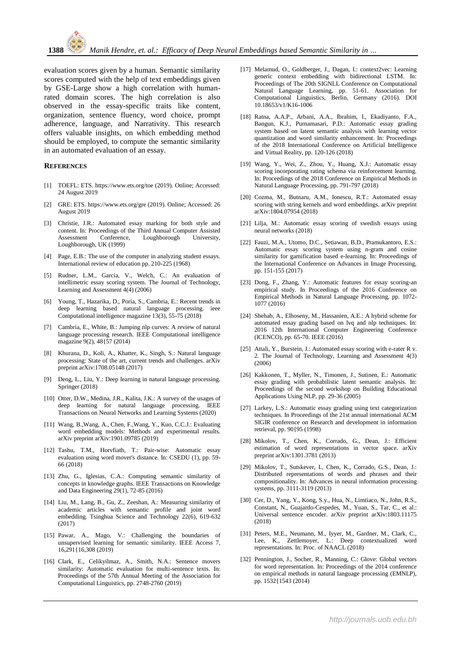evaluation scores given by a human. Semantic similarity scores computed with the help of text embeddings given by GSE-Large show a high correlation with humanrated domain scores. The high correlation is also observed in the essay-specific traits like content, organization, sentence fluency, word choice, prompt adherence, language, and Narrativity. This research offers valuable insights, on which embedding method should be employed, to compute the semantic similarity in an automated evaluation of an essay.

#### **REFERENCES**

- [1] TOEFL: ETS. https://www.ets.org/toe (2019). Online; Accessed: 24 August 2019
- [2] GRE: ETS. https://www.ets.org/gre (2019). Online; Accessed: 26 August 2019
- [3] Christie, J.R.: Automated essay marking for both style and content. In: Proceedings of the Third Annual Computer Assisted Assessment Conference, Loughborough University, Loughborough, UK (1999)
- [4] Page, E.B.: The use of the computer in analyzing student essays. International review of education pp. 210-225 (1968)
- [5] Rudner, L.M., Garcia, V., Welch, C.: An evaluation of intellimetric essay scoring system. The Journal of Technology, Learning and Assessment 4(4) (2006)
- [6] Young, T., Hazarika, D., Poria, S., Cambria, E.: Recent trends in deep learning based natural language processing. ieee Computational intelligence magazine 13(3), 55-75 (2018)
- [7] Cambria, E., White, B.: Jumping nlp curves: A review of natural language processing research. IEEE Computational intelligence magazine 9(2), 48{57 (2014)
- [8] Khurana, D., Koli, A., Khatter, K., Singh, S.: Natural language processing: State of the art, current trends and challenges. arXiv preprint arXiv:1708.05148 (2017)
- [9] Deng, L., Liu, Y.: Deep learning in natural language processing. Springer (2018)
- [10] Otter, D.W., Medina, J.R., Kalita, J.K.: A survey of the usages of deep learning for natural language processing. IEEE Transactions on Neural Networks and Learning Systems (2020)
- [11] Wang, B.,Wang, A., Chen, F.,Wang, Y., Kuo, C.C.J.: Evaluating word embedding models: Methods and experimental results. arXiv preprint arXiv:1901.09785 (2019)
- [12] Tashu, T.M., Horvfiath, T.: Pair-wise: Automatic essay evaluation using word mover's distance. In: CSEDU (1), pp. 59- 66 (2018)
- [13] Zhu, G., Iglesias, C.A.: Computing semantic similarity of concepts in knowledge graphs. IEEE Transactions on Knowledge and Data Engineering 29(1), 72-85 (2016)
- [14] Liu, M., Lang, B., Gu, Z., Zeeshan, A.: Measuring similarity of academic articles with semantic profile and joint word embedding. Tsinghua Science and Technology 22(6), 619-632 (2017)
- [15] Pawar, A., Mago, V.: Challenging the boundaries of unsupervised learning for semantic similarity. IEEE Access 7, 16,291{16,308 (2019)
- [16] Clark, E., Celikyilmaz, A., Smith, N.A.: Sentence movers similarity: Automatic evaluation for multi-sentence texts. In: Proceedings of the 57th Annual Meeting of the Association for Computational Linguistics, pp. 2748-2760 (2019)
- [17] Melamud, O., Goldberger, J., Dagan, I.: context2vec: Learning generic context embedding with bidirectional LSTM. In: Proceedings of The 20th SIGNLL Conference on Computational Natural Language Learning, pp. 51-61. Association for Computational Linguistics, Berlin, Germany (2016). DOI 10.18653/v1/K16-1006
- [18] Ratna, A.A.P., Arbani, A.A., Ibrahim, I., Ekadiyanto, F.A., Bangun, K.J., Purnamasari, P.D.: Automatic essay grading system based on latent semantic analysis with learning vector quantization and word similarity enhancement. In: Proceedings of the 2018 International Conference on Artificial Intelligence and Virtual Reality, pp. 120-126 (2018)
- [19] Wang, Y., Wei, Z., Zhou, Y., Huang, X.J.: Automatic essay scoring incorporating rating schema via reinforcement learning. In: Proceedings of the 2018 Conference on Empirical Methods in Natural Language Processing, pp. 791-797 (2018)
- [20] Cozma, M., Butnaru, A.M., Ionescu, R.T.: Automated essay scoring with string kernels and word embeddings. arXiv preprint arXiv:1804.07954 (2018)
- [21] Lilja, M.: Automatic essay scoring of swedish essays using neural networks (2018)
- [22] Fauzi, M.A., Utomo, D.C., Setiawan, B.D., Pramukantoro, E.S.: Automatic essay scoring system using n-gram and cosine similarity for gamification based e-learning. In: Proceedings of the International Conference on Advances in Image Processing, pp. 151-155 (2017)
- [23] Dong, F., Zhang, Y.: Automatic features for essay scoring-an empirical study. In Proceedings of the 2016 Conference on Empirical Methods in Natural Language Processing, pp. 1072- 1077 (2016)
- [24] Shehab, A., Elhoseny, M., Hassanien, A.E.: A hybrid scheme for automated essay grading based on lvq and nlp techniques. In: 2016 12th International Computer Engineering Conference (ICENCO), pp. 65-70. IEEE (2016)
- [25] Attali, Y., Burstein, J.: Automated essay scoring with e-rater R v. 2. The Journal of Technology, Learning and Assessment 4(3) (2006)
- [26] Kakkonen, T., Myller, N., Timonen, J., Sutinen, E.: Automatic essay grading with probabilistic latent semantic analysis. In: Proceedings of the second workshop on Building Educational Applications Using NLP, pp. 29-36 (2005)
- [27] Larkey, L.S.: Automatic essay grading using text categorization techniques. In Proceedings of the 21st annual international ACM SIGIR conference on Research and development in information retrieval, pp. 90{95 (1998)
- [28] Mikolov, T., Chen, K., Corrado, G., Dean, J.: Efficient estimation of word representations in vector space. arXiv preprint arXiv:1301.3781 (2013)
- [29] Mikolov, T., Sutskever, I., Chen, K., Corrado, G.S., Dean, J.: Distributed representations of words and phrases and their compositionality. In: Advances in neural information processing systems, pp. 3111-3119 (2013)
- [30] Cer, D., Yang, Y., Kong, S.y., Hua, N., Limtiaco, N., John, R.S., Constant, N., Guajardo-Cespedes, M., Yuan, S., Tar, C., et al.: Universal sentence encoder. arXiv preprint arXiv:1803.11175 (2018)
- [31] Peters, M.E., Neumann, M., Iyyer, M., Gardner, M., Clark, C., Lee, K., Zettlemoyer, L.: Deep contextualized word representations. In: Proc. of NAACL (2018)
- [32] Pennington, J., Socher, R., Manning, C.: Glove: Global vectors for word representation. In: Proceedings of the 2014 conference on empirical methods in natural language processing (EMNLP), pp. 1532{1543 (2014)